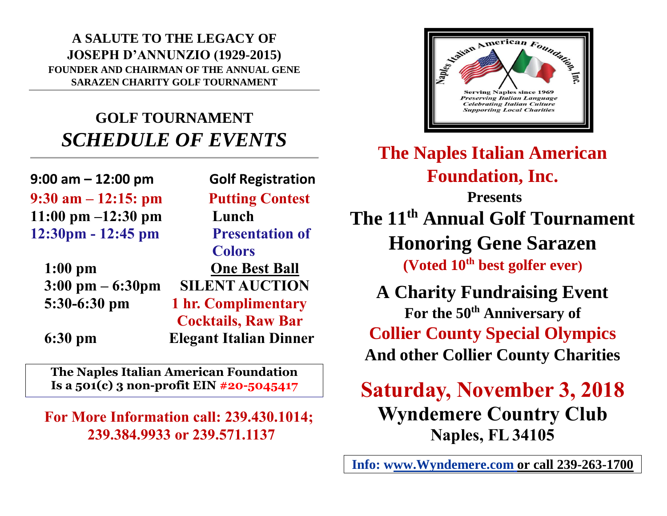**A SALUTE TO THE LEGACY OF JOSEPH D'ANNUNZIO (1929-2015) FOUNDER AND CHAIRMAN OF THE ANNUAL GENE SARAZEN CHARITY GOLF TOURNAMENT**

# **GOLF TOURNAMENT** *SCHEDULE OF EVENTS*

**9:00 am – 12:00 pm Golf Registration 9:30 am – 12:15: pm Putting Contest 11:00 pm –12:30 pm Lunch 12:30pm - 12:45 pm Presentation of** 

|                                    | <b>Colors</b>                 |
|------------------------------------|-------------------------------|
| $1:00$ pm                          | <b>One Best Ball</b>          |
| $3:00 \text{ pm} - 6:30 \text{pm}$ | <b>SILENT AUCTION</b>         |
| 5:30-6:30 pm                       | 1 hr. Complimentary           |
|                                    | <b>Cocktails, Raw Bar</b>     |
| $6:30 \text{ pm}$                  | <b>Elegant Italian Dinner</b> |

**The Naples Italian American Foundation Is a 501(c) 3 non-profit EIN #20-5045417**

**For More Information call: 239.430.1014; 239.384.9933 or 239.571.1137**



**The Naples Italian American Foundation, Inc.**

**Presents The 11th Annual Golf Tournament Honoring Gene Sarazen (Voted 10th best golfer ever)**

**A Charity Fundraising Event For the 50th Anniversary of Collier County Special Olympics And other Collier County Charities**

**Saturday, November 3, 2018 Wyndemere Country Club Naples, FL 34105**